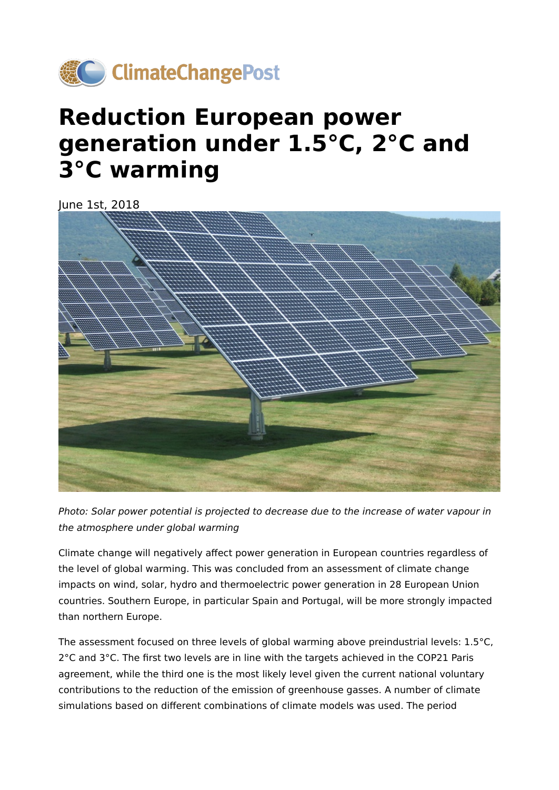

# **Reduction European power generation under 1.5°C, 2°C and 3°C warming**

June 1st, 2018



Photo: Solar power potential is projected to decrease due to the increase of water vapour in the atmosphere under global warming

Climate change will negatively affect power generation in European countries regardless of the level of global warming. This was concluded from an assessment of climate change impacts on wind, solar, hydro and thermoelectric power generation in 28 European Union countries. Southern Europe, in particular Spain and Portugal, will be more strongly impacted than northern Europe.

The assessment focused on three levels of global warming above preindustrial levels: 1.5°C, 2°C and 3°C. The first two levels are in line with the targets achieved in the COP21 Paris agreement, while the third one is the most likely level given the current national voluntary contributions to the reduction of the emission of greenhouse gasses. A number of climate simulations based on different combinations of climate models was used. The period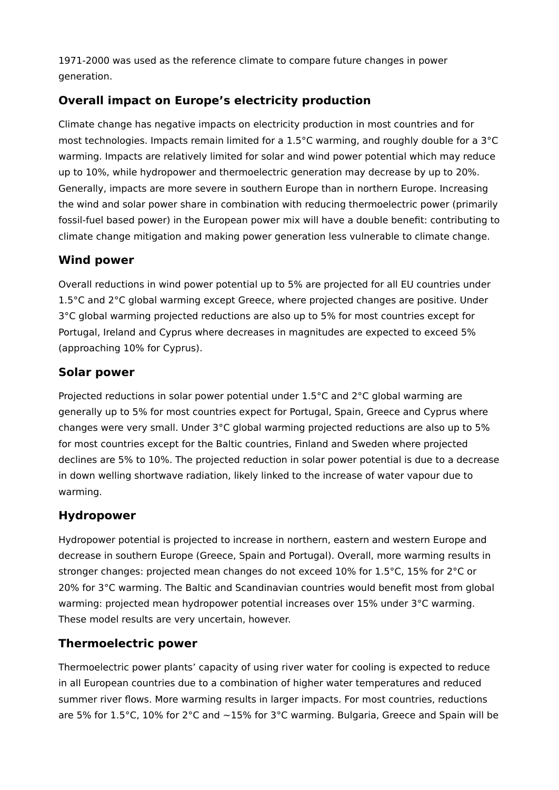1971-2000 was used as the reference climate to compare future changes in power generation.

## **Overall impact on Europe's electricity production**

Climate change has negative impacts on electricity production in most countries and for most technologies. Impacts remain limited for a 1.5°C warming, and roughly double for a 3°C warming. Impacts are relatively limited for solar and wind power potential which may reduce up to 10%, while hydropower and thermoelectric generation may decrease by up to 20%. Generally, impacts are more severe in southern Europe than in northern Europe. Increasing the wind and solar power share in combination with reducing thermoelectric power (primarily fossil-fuel based power) in the European power mix will have a double benefit: contributing to climate change mitigation and making power generation less vulnerable to climate change.

#### **Wind power**

Overall reductions in wind power potential up to 5% are projected for all EU countries under 1.5°C and 2°C global warming except Greece, where projected changes are positive. Under 3°C global warming projected reductions are also up to 5% for most countries except for Portugal, Ireland and Cyprus where decreases in magnitudes are expected to exceed 5% (approaching 10% for Cyprus).

## **Solar power**

Projected reductions in solar power potential under 1.5°C and 2°C global warming are generally up to 5% for most countries expect for Portugal, Spain, Greece and Cyprus where changes were very small. Under 3°C global warming projected reductions are also up to 5% for most countries except for the Baltic countries, Finland and Sweden where projected declines are 5% to 10%. The projected reduction in solar power potential is due to a decrease in down welling shortwave radiation, likely linked to the increase of water vapour due to warming.

## **Hydropower**

Hydropower potential is projected to increase in northern, eastern and western Europe and decrease in southern Europe (Greece, Spain and Portugal). Overall, more warming results in stronger changes: projected mean changes do not exceed 10% for 1.5°C, 15% for 2°C or 20% for 3°C warming. The Baltic and Scandinavian countries would benefit most from global warming: projected mean hydropower potential increases over 15% under 3°C warming. These model results are very uncertain, however.

## **Thermoelectric power**

Thermoelectric power plants' capacity of using river water for cooling is expected to reduce in all European countries due to a combination of higher water temperatures and reduced summer river flows. More warming results in larger impacts. For most countries, reductions are 5% for 1.5°C, 10% for 2°C and ∼15% for 3°C warming. Bulgaria, Greece and Spain will be